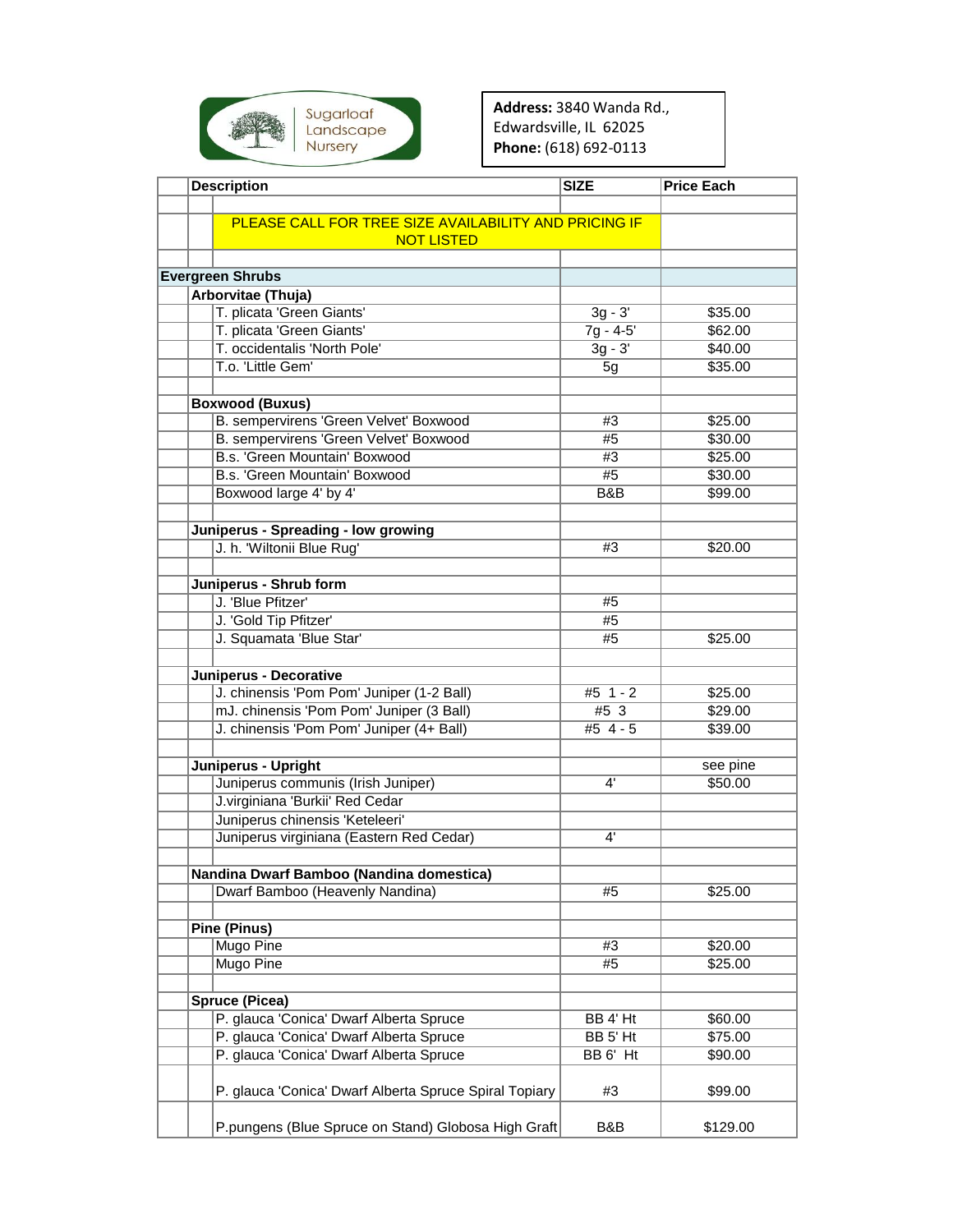

**Address:** 3840 Wanda Rd., Edwardsville, IL 62025 **Phone:** (618) 692-0113

| <b>Description</b>                                     | <b>SIZE</b>              | <b>Price Each</b>  |
|--------------------------------------------------------|--------------------------|--------------------|
|                                                        |                          |                    |
| PLEASE CALL FOR TREE SIZE AVAILABILITY AND PRICING IF  |                          |                    |
| <b>NOT LISTED</b>                                      |                          |                    |
|                                                        |                          |                    |
| <b>Evergreen Shrubs</b>                                |                          |                    |
| Arborvitae (Thuja)                                     |                          |                    |
| T. plicata 'Green Giants'<br>T. plicata 'Green Giants' | $3g - 3'$                | \$35.00            |
| T. occidentalis 'North Pole'                           | $7g - 4-5'$<br>$3g - 3'$ | \$62.00<br>\$40.00 |
| T.o. 'Little Gem'                                      | 5g                       | \$35.00            |
|                                                        |                          |                    |
| <b>Boxwood (Buxus)</b>                                 |                          |                    |
| B. sempervirens 'Green Velvet' Boxwood                 | #3                       | \$25.00            |
| B. sempervirens 'Green Velvet' Boxwood                 | #5                       | \$30.00            |
| B.s. 'Green Mountain' Boxwood                          | #3                       | \$25.00            |
| B.s. 'Green Mountain' Boxwood                          | #5                       | \$30.00            |
| Boxwood large 4' by 4'                                 | B&B                      | \$99.00            |
|                                                        |                          |                    |
| Juniperus - Spreading - low growing                    |                          |                    |
| J. h. 'Wiltonii Blue Rug'                              | #3                       | \$20.00            |
|                                                        |                          |                    |
| Juniperus - Shrub form                                 |                          |                    |
| J. 'Blue Pfitzer'                                      | #5                       |                    |
| J. 'Gold Tip Pfitzer'                                  | #5                       |                    |
| J. Squamata 'Blue Star'                                | #5                       | \$25.00            |
|                                                        |                          |                    |
| Juniperus - Decorative                                 |                          |                    |
| J. chinensis 'Pom Pom' Juniper (1-2 Ball)              | $#5$ 1 - 2               | \$25.00            |
| mJ. chinensis 'Pom Pom' Juniper (3 Ball)               | #5 3                     | \$29.00            |
| J. chinensis 'Pom Pom' Juniper (4+ Ball)               | #5 4 - 5                 | \$39.00            |
|                                                        |                          |                    |
| Juniperus - Upright                                    |                          | see pine           |
| Juniperus communis (Irish Juniper)                     | 4'                       | \$50.00            |
| J.virginiana 'Burkii' Red Cedar                        |                          |                    |
| Juniperus chinensis 'Keteleeri'                        |                          |                    |
| Juniperus virginiana (Eastern Red Cedar)               | 4'                       |                    |
|                                                        |                          |                    |
| Nandina Dwarf Bamboo (Nandina domestica)               |                          |                    |
| Dwarf Bamboo (Heavenly Nandina)                        | #5                       | \$25.00            |
|                                                        |                          |                    |
| <b>Pine (Pinus)</b>                                    |                          |                    |
| <b>Mugo Pine</b>                                       | #3                       | \$20.00            |
| <b>Mugo Pine</b>                                       | #5                       | \$25.00            |
|                                                        |                          |                    |
| <b>Spruce (Picea)</b>                                  |                          |                    |
| P. glauca 'Conica' Dwarf Alberta Spruce                | BB 4' Ht                 | \$60.00            |
| P. glauca 'Conica' Dwarf Alberta Spruce                | BB 5' Ht                 | \$75.00            |
| P. glauca 'Conica' Dwarf Alberta Spruce                | BB 6' Ht                 | \$90.00            |
| P. glauca 'Conica' Dwarf Alberta Spruce Spiral Topiary | #3                       | \$99.00            |
| P.pungens (Blue Spruce on Stand) Globosa High Graft    | B&B                      | \$129.00           |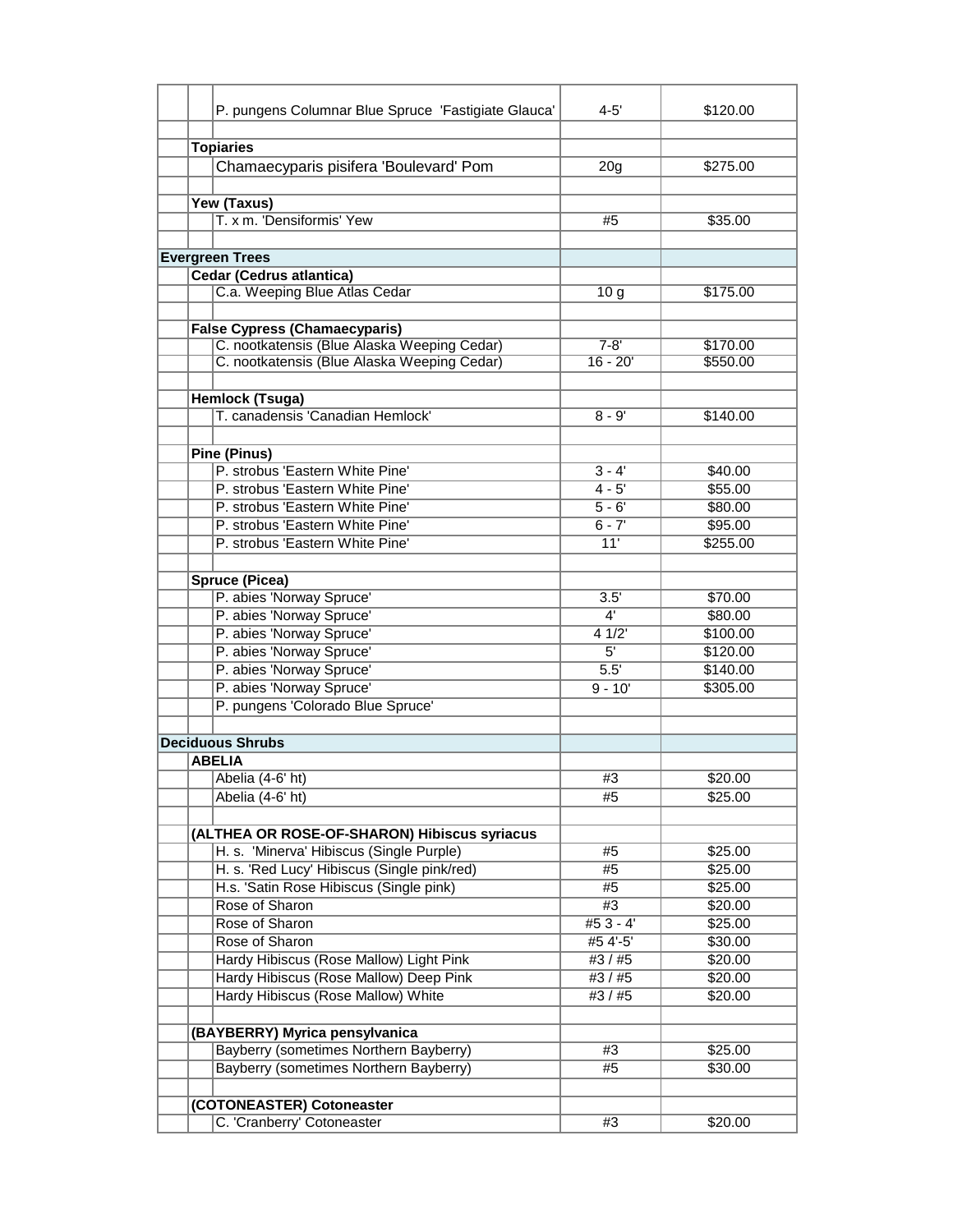| P. pungens Columnar Blue Spruce 'Fastigiate Glauca'                                 | 4-5'            | \$120.00 |
|-------------------------------------------------------------------------------------|-----------------|----------|
| <b>Topiaries</b>                                                                    |                 |          |
|                                                                                     |                 | \$275.00 |
| Chamaecyparis pisifera 'Boulevard' Pom                                              | 20 <sub>g</sub> |          |
|                                                                                     |                 |          |
| Yew (Taxus)<br>T. x m. 'Densiformis' Yew                                            | #5              | \$35.00  |
|                                                                                     |                 |          |
| <b>Evergreen Trees</b>                                                              |                 |          |
| <b>Cedar (Cedrus atlantica)</b>                                                     |                 |          |
| C.a. Weeping Blue Atlas Cedar                                                       | 10 <sub>g</sub> | \$175.00 |
|                                                                                     |                 |          |
|                                                                                     |                 |          |
| <b>False Cypress (Chamaecyparis)</b><br>C. nootkatensis (Blue Alaska Weeping Cedar) | $7 - 8'$        | \$170.00 |
| C. nootkatensis (Blue Alaska Weeping Cedar)                                         | $16 - 20'$      | \$550.00 |
|                                                                                     |                 |          |
|                                                                                     |                 |          |
| <b>Hemlock (Tsuga)</b><br>T. canadensis 'Canadian Hemlock'                          | $8 - 9'$        | \$140.00 |
|                                                                                     |                 |          |
|                                                                                     |                 |          |
| <b>Pine (Pinus)</b><br>P. strobus 'Eastern White Pine'                              | $3 - 4'$        |          |
|                                                                                     |                 | \$40.00  |
| P. strobus 'Eastern White Pine'                                                     | $4 - 5'$        | \$55.00  |
| P. strobus 'Eastern White Pine'                                                     | $5 - 6'$        | \$80.00  |
| P. strobus 'Eastern White Pine'                                                     | $6 - 7'$        | \$95.00  |
| P. strobus 'Eastern White Pine'                                                     | 11'             | \$255.00 |
| <b>Spruce (Picea)</b>                                                               |                 |          |
| P. abies 'Norway Spruce'                                                            | 3.5'            | \$70.00  |
| P. abies 'Norway Spruce'                                                            | 4'              | \$80.00  |
| P. abies 'Norway Spruce'                                                            | 41/2            | \$100.00 |
| P. abies 'Norway Spruce'                                                            | 5'              | \$120.00 |
| P. abies 'Norway Spruce'                                                            | 5.5'            | \$140.00 |
| P. abies 'Norway Spruce'                                                            | $9 - 10'$       | \$305.00 |
| P. pungens 'Colorado Blue Spruce'                                                   |                 |          |
|                                                                                     |                 |          |
| <b>Deciduous Shrubs</b>                                                             |                 |          |
| <b>ABELIA</b>                                                                       |                 |          |
| Abelia (4-6' ht)                                                                    | #3              | \$20.00  |
| Abelia (4-6' ht)                                                                    | #5              | \$25.00  |
|                                                                                     |                 |          |
| (ALTHEA OR ROSE-OF-SHARON) Hibiscus syriacus                                        |                 |          |
| H. s. 'Minerva' Hibiscus (Single Purple)                                            | #5              | \$25.00  |
| H. s. 'Red Lucy' Hibiscus (Single pink/red)                                         | #5              | \$25.00  |
| H.s. 'Satin Rose Hibiscus (Single pink)                                             | #5              | \$25.00  |
| Rose of Sharon                                                                      | #3              | \$20.00  |
| Rose of Sharon                                                                      | $#53 - 4'$      | \$25.00  |
| Rose of Sharon                                                                      | #5 4'-5'        | \$30.00  |
| Hardy Hibiscus (Rose Mallow) Light Pink                                             | #3 / #5         | \$20.00  |
| Hardy Hibiscus (Rose Mallow) Deep Pink                                              | #3/#5           | \$20.00  |
| Hardy Hibiscus (Rose Mallow) White                                                  | #3 / #5         | \$20.00  |
|                                                                                     |                 |          |
| (BAYBERRY) Myrica pensylvanica                                                      |                 |          |
| Bayberry (sometimes Northern Bayberry)                                              | #3              | \$25.00  |
| <b>Bayberry (sometimes Northern Bayberry)</b>                                       | #5              | \$30.00  |
|                                                                                     |                 |          |
| (COTONEASTER) Cotoneaster                                                           |                 |          |
| C. 'Cranberry' Cotoneaster                                                          | #3              | \$20.00  |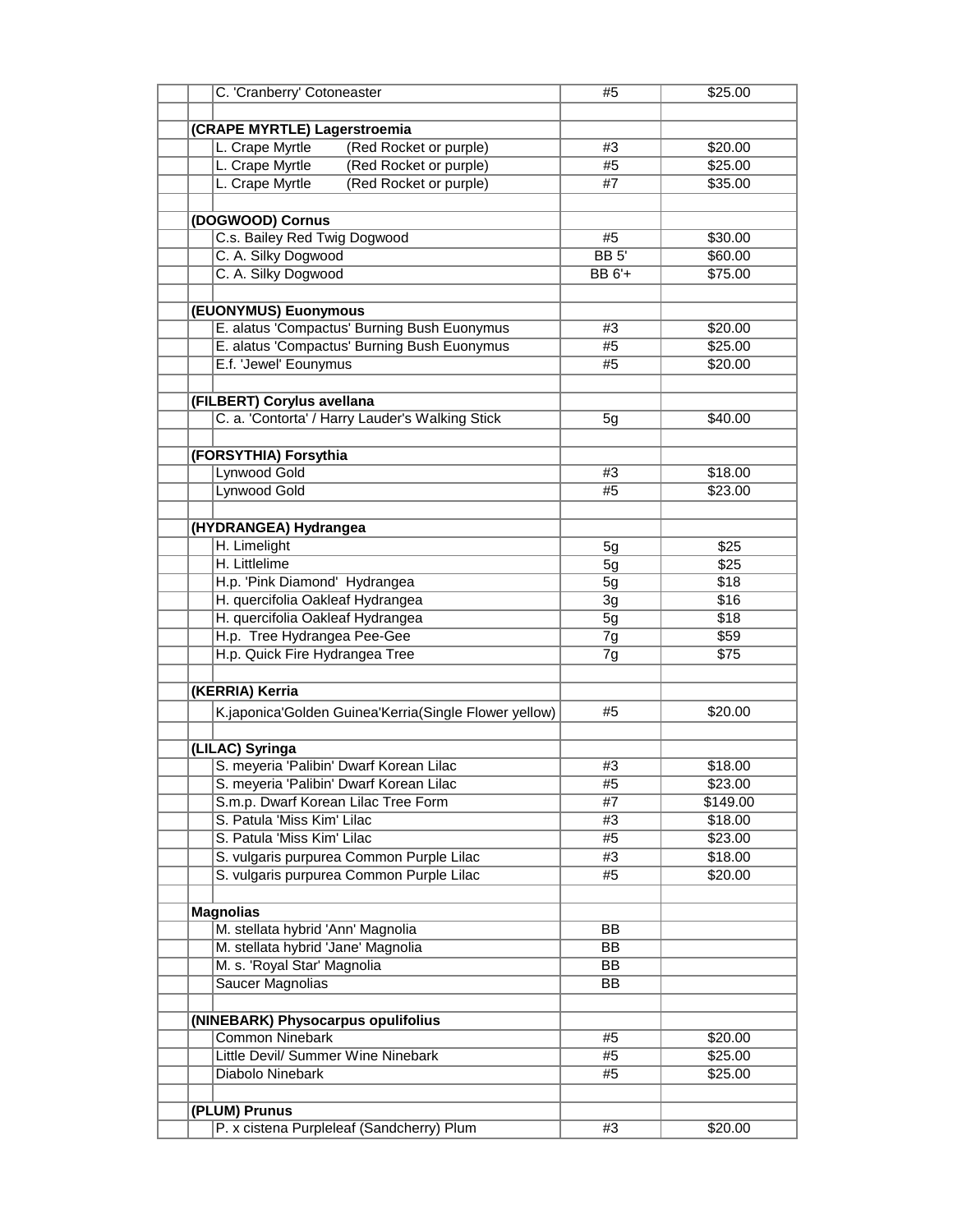| C. 'Cranberry' Cotoneaster                            | #5           | \$25.00  |
|-------------------------------------------------------|--------------|----------|
|                                                       |              |          |
| (CRAPE MYRTLE) Lagerstroemia                          |              |          |
| L. Crape Myrtle<br>(Red Rocket or purple)             | #3           | \$20.00  |
| (Red Rocket or purple)<br>L. Crape Myrtle             | #5           | \$25.00  |
| L. Crape Myrtle<br>(Red Rocket or purple)             | #7           | \$35.00  |
|                                                       |              |          |
| (DOGWOOD) Cornus                                      |              |          |
| C.s. Bailey Red Twig Dogwood                          | #5           | \$30.00  |
| C. A. Silky Dogwood                                   | <b>BB</b> 5' | \$60.00  |
| C. A. Silky Dogwood                                   | BB 6'+       | \$75.00  |
|                                                       |              |          |
| (EUONYMUS) Euonymous                                  |              |          |
| E. alatus 'Compactus' Burning Bush Euonymus           | #3           | \$20.00  |
| E. alatus 'Compactus' Burning Bush Euonymus           | #5           | \$25.00  |
| E.f. 'Jewel' Eounymus                                 | #5           | \$20.00  |
|                                                       |              |          |
| (FILBERT) Corylus avellana                            |              |          |
| C. a. 'Contorta' / Harry Lauder's Walking Stick       | 5g           | \$40.00  |
|                                                       |              |          |
| (FORSYTHIA) Forsythia                                 |              |          |
| Lynwood Gold                                          | #3           | \$18.00  |
| Lynwood Gold                                          | #5           | \$23.00  |
|                                                       |              |          |
| (HYDRANGEA) Hydrangea                                 |              |          |
| H. Limelight                                          | 5g           | \$25     |
| H. Littlelime                                         | 5g           | \$25     |
| H.p. 'Pink Diamond' Hydrangea                         | 5g           | \$18     |
| H. quercifolia Oakleaf Hydrangea                      | 3g           | \$16     |
| H. quercifolia Oakleaf Hydrangea                      | 5g           | \$18     |
| H.p. Tree Hydrangea Pee-Gee                           | 7g           | \$59     |
| H.p. Quick Fire Hydrangea Tree                        | 7g           | \$75     |
|                                                       |              |          |
| (KERRIA) Kerria                                       |              |          |
| K.japonica'Golden Guinea'Kerria(Single Flower yellow) | #5           | \$20.00  |
|                                                       |              |          |
| (LILAC) Syringa                                       |              |          |
| S. meyeria 'Palibin' Dwarf Korean Lilac               | #3           | \$18.00  |
| S. meyeria 'Palibin' Dwarf Korean Lilac               | #5           | \$23.00  |
| S.m.p. Dwarf Korean Lilac Tree Form                   | #7           | \$149.00 |
| S. Patula 'Miss Kim' Lilac                            | #3           | \$18.00  |
| S. Patula 'Miss Kim' Lilac                            | #5           | \$23.00  |
| S. vulgaris purpurea Common Purple Lilac              | #3           | \$18.00  |
| S. vulgaris purpurea Common Purple Lilac              | #5           | \$20.00  |
|                                                       |              |          |
| <b>Magnolias</b>                                      |              |          |
| M. stellata hybrid 'Ann' Magnolia                     | BB           |          |
| M. stellata hybrid 'Jane' Magnolia                    | <b>BB</b>    |          |
| M. s. 'Royal Star' Magnolia                           | <b>BB</b>    |          |
| Saucer Magnolias                                      | BB           |          |
|                                                       |              |          |
| (NINEBARK) Physocarpus opulifolius                    |              |          |
| <b>Common Ninebark</b>                                | #5           | \$20.00  |
| Little Devil/ Summer Wine Ninebark                    | #5           | \$25.00  |
| Diabolo Ninebark                                      | #5           | \$25.00  |
|                                                       |              |          |
| (PLUM) Prunus                                         |              |          |
| P. x cistena Purpleleaf (Sandcherry) Plum             | #3           | \$20.00  |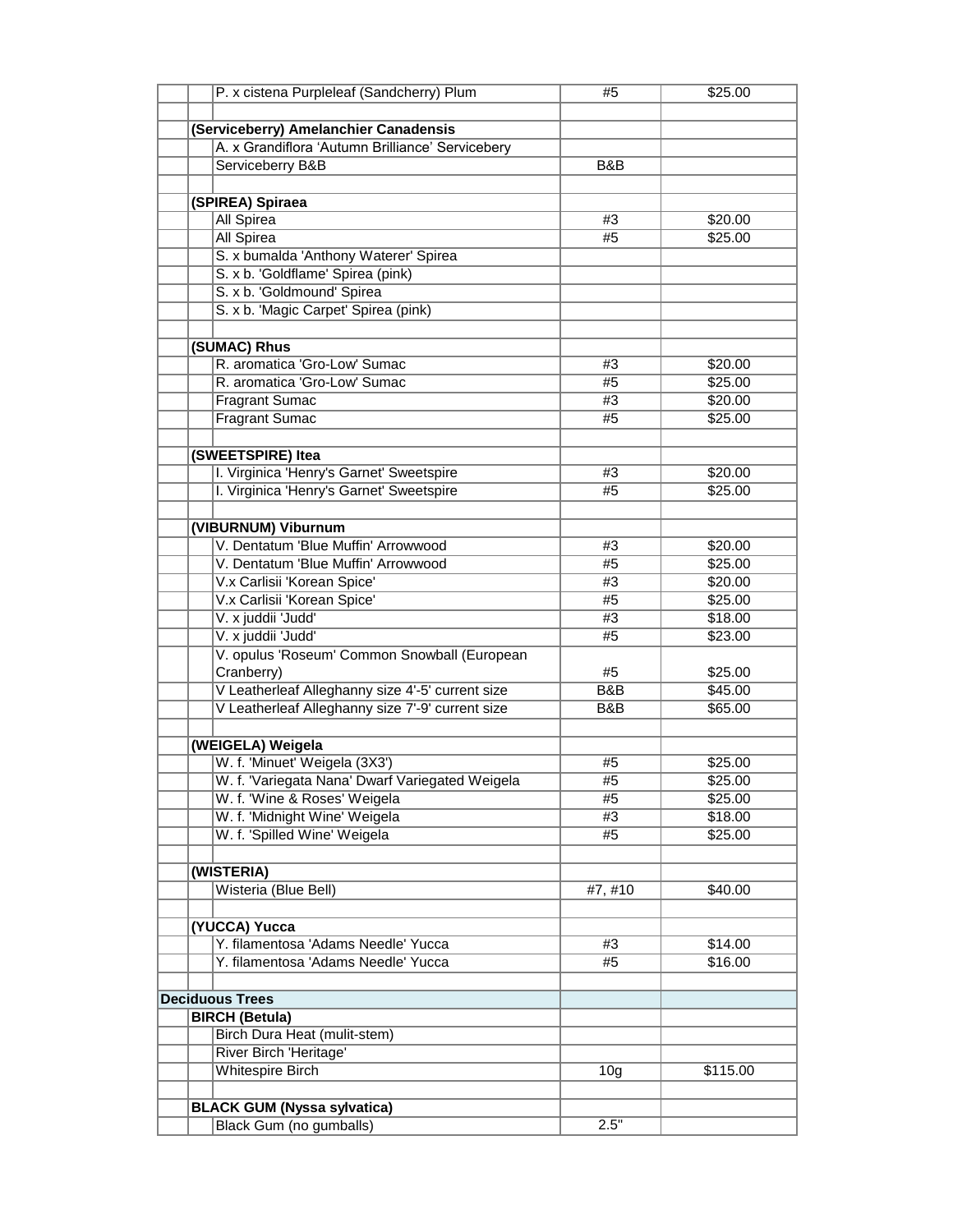| P. x cistena Purpleleaf (Sandcherry) Plum        | #5              | \$25.00  |
|--------------------------------------------------|-----------------|----------|
|                                                  |                 |          |
| (Serviceberry) Amelanchier Canadensis            |                 |          |
| A. x Grandiflora 'Autumn Brilliance' Servicebery |                 |          |
| Serviceberry B&B                                 | B&B             |          |
|                                                  |                 |          |
| (SPIREA) Spiraea                                 |                 |          |
| All Spirea                                       | #3              | \$20.00  |
| <b>All Spirea</b>                                | #5              | \$25.00  |
|                                                  |                 |          |
| S. x bumalda 'Anthony Waterer' Spirea            |                 |          |
| S. x b. 'Goldflame' Spirea (pink)                |                 |          |
| S. x b. 'Goldmound' Spirea                       |                 |          |
| S. x b. 'Magic Carpet' Spirea (pink)             |                 |          |
|                                                  |                 |          |
| (SUMAC) Rhus                                     |                 |          |
| R. aromatica 'Gro-Low' Sumac                     | #3              | \$20.00  |
| R. aromatica 'Gro-Low' Sumac                     | #5              | \$25.00  |
| <b>Fragrant Sumac</b>                            | #3              | \$20.00  |
| <b>Fragrant Sumac</b>                            | #5              | \$25.00  |
|                                                  |                 |          |
| (SWEETSPIRE) Itea                                |                 |          |
| I. Virginica 'Henry's Garnet' Sweetspire         | #3              | \$20.00  |
| I. Virginica 'Henry's Garnet' Sweetspire         | #5              | \$25.00  |
|                                                  |                 |          |
| (VIBURNUM) Viburnum                              |                 |          |
| V. Dentatum 'Blue Muffin' Arrowwood              | #3              | \$20.00  |
| V. Dentatum 'Blue Muffin' Arrowwood              | #5              | \$25.00  |
|                                                  | #3              |          |
| V.x Carlisii 'Korean Spice'                      |                 | \$20.00  |
| V.x Carlisii 'Korean Spice'                      | #5              | \$25.00  |
| V. x juddii 'Judd'                               | #3              | \$18.00  |
| V. x juddii 'Judd'                               | #5              | \$23.00  |
| V. opulus 'Roseum' Common Snowball (European     |                 |          |
| Cranberry)                                       | #5              | \$25.00  |
| V Leatherleaf Alleghanny size 4'-5' current size | B&B             | \$45.00  |
| V Leatherleaf Alleghanny size 7'-9' current size | B&B             | \$65.00  |
|                                                  |                 |          |
| (WEIGELA) Weigela                                |                 |          |
| W. f. 'Minuet' Weigela (3X3')                    | #5              | \$25.00  |
| W. f. 'Variegata Nana' Dwarf Variegated Weigela  | #5              | \$25.00  |
| W. f. 'Wine & Roses' Weigela                     | #5              | \$25.00  |
| W. f. 'Midnight Wine' Weigela                    | #3              | \$18.00  |
| W. f. 'Spilled Wine' Weigela                     | #5              | \$25.00  |
|                                                  |                 |          |
| (WISTERIA)                                       |                 |          |
| Wisteria (Blue Bell)                             | #7, #10         | \$40.00  |
|                                                  |                 |          |
| (YUCCA) Yucca                                    |                 |          |
| Y. filamentosa 'Adams Needle' Yucca              | #3              | \$14.00  |
| Y. filamentosa 'Adams Needle' Yucca              | #5              | \$16.00  |
|                                                  |                 |          |
|                                                  |                 |          |
| <b>Deciduous Trees</b>                           |                 |          |
| <b>BIRCH (Betula)</b>                            |                 |          |
| Birch Dura Heat (mulit-stem)                     |                 |          |
| River Birch 'Heritage'                           |                 |          |
| Whitespire Birch                                 | 10 <sub>g</sub> | \$115.00 |
|                                                  |                 |          |
| <b>BLACK GUM (Nyssa sylvatica)</b>               |                 |          |
| Black Gum (no gumballs)                          | 2.5"            |          |
|                                                  |                 |          |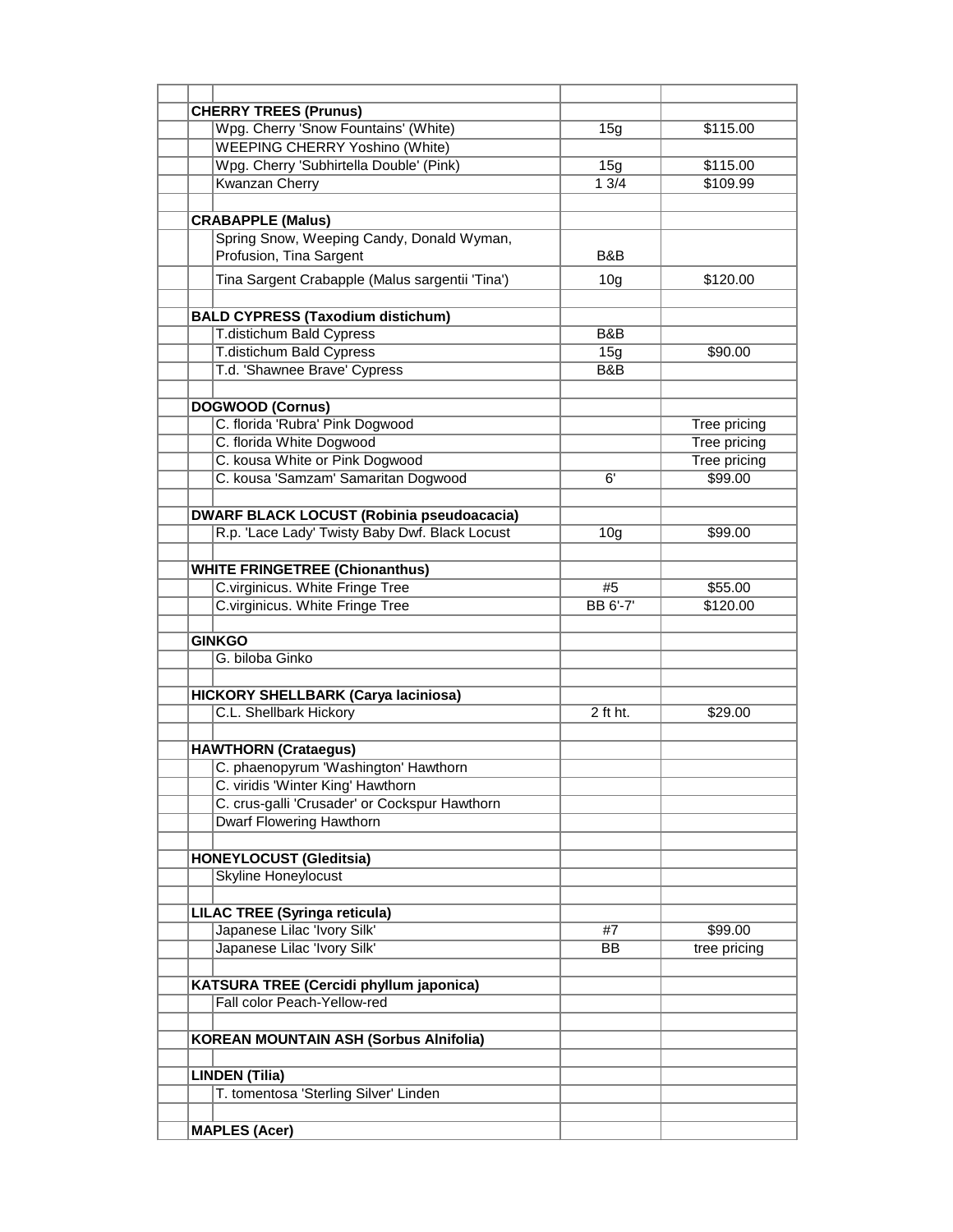| <b>CHERRY TREES (Prunus)</b>                     |                 |                     |
|--------------------------------------------------|-----------------|---------------------|
| Wpg. Cherry 'Snow Fountains' (White)             | 15g             | \$115.00            |
| <b>WEEPING CHERRY Yoshino (White)</b>            |                 |                     |
| Wpg. Cherry 'Subhirtella Double' (Pink)          | 15g             | \$115.00            |
| <b>Kwanzan Cherry</b>                            | 13/4            | \$109.99            |
|                                                  |                 |                     |
| <b>CRABAPPLE (Malus)</b>                         |                 |                     |
| Spring Snow, Weeping Candy, Donald Wyman,        |                 |                     |
| Profusion, Tina Sargent                          | B&B             |                     |
|                                                  |                 |                     |
| Tina Sargent Crabapple (Malus sargentii 'Tina')  | 10 <sub>g</sub> | \$120.00            |
|                                                  |                 |                     |
| <b>BALD CYPRESS (Taxodium distichum)</b>         |                 |                     |
| <b>T.distichum Bald Cypress</b>                  | B&B             |                     |
| T.distichum Bald Cypress                         | 15g             | \$90.00             |
| T.d. 'Shawnee Brave' Cypress                     | B&B             |                     |
|                                                  |                 |                     |
| <b>DOGWOOD (Cornus)</b>                          |                 |                     |
| C. florida 'Rubra' Pink Dogwood                  |                 | Tree pricing        |
| C. florida White Dogwood                         |                 | <b>Tree pricing</b> |
| C. kousa White or Pink Dogwood                   |                 | Tree pricing        |
| C. kousa 'Samzam' Samaritan Dogwood              | 6'              | \$99.00             |
|                                                  |                 |                     |
| <b>DWARF BLACK LOCUST (Robinia pseudoacacia)</b> |                 |                     |
| R.p. 'Lace Lady' Twisty Baby Dwf. Black Locust   | 10 <sub>g</sub> | \$99.00             |
|                                                  |                 |                     |
| <b>WHITE FRINGETREE (Chionanthus)</b>            |                 |                     |
| C.virginicus. White Fringe Tree                  | #5              | \$55.00             |
| C.virginicus. White Fringe Tree                  | <b>BB 6'-7'</b> | \$120.00            |
|                                                  |                 |                     |
|                                                  |                 |                     |
| <b>GINKGO</b><br>G. biloba Ginko                 |                 |                     |
|                                                  |                 |                     |
|                                                  |                 |                     |
| <b>HICKORY SHELLBARK (Carya laciniosa)</b>       |                 |                     |
| C.L. Shellbark Hickory                           | $2$ ft ht.      | \$29.00             |
|                                                  |                 |                     |
| <b>HAWTHORN (Crataegus)</b>                      |                 |                     |
| C. phaenopyrum 'Washington' Hawthorn             |                 |                     |
| C. viridis 'Winter King' Hawthorn                |                 |                     |
| C. crus-galli 'Crusader' or Cockspur Hawthorn    |                 |                     |
| <b>Dwarf Flowering Hawthorn</b>                  |                 |                     |
|                                                  |                 |                     |
| <b>HONEYLOCUST (Gleditsia)</b>                   |                 |                     |
| <b>Skyline Honeylocust</b>                       |                 |                     |
|                                                  |                 |                     |
| <b>LILAC TREE (Syringa reticula)</b>             |                 |                     |
| Japanese Lilac 'Ivory Silk'                      | #7              | \$99.00             |
| Japanese Lilac 'Ivory Silk'                      | BB              | tree pricing        |
|                                                  |                 |                     |
| KATSURA TREE (Cercidi phyllum japonica)          |                 |                     |
| Fall color Peach-Yellow-red                      |                 |                     |
|                                                  |                 |                     |
|                                                  |                 |                     |
| <b>KOREAN MOUNTAIN ASH (Sorbus Alnifolia)</b>    |                 |                     |
|                                                  |                 |                     |
| <b>LINDEN (Tilia)</b>                            |                 |                     |
| T. tomentosa 'Sterling Silver' Linden            |                 |                     |
|                                                  |                 |                     |
| <b>MAPLES (Acer)</b>                             |                 |                     |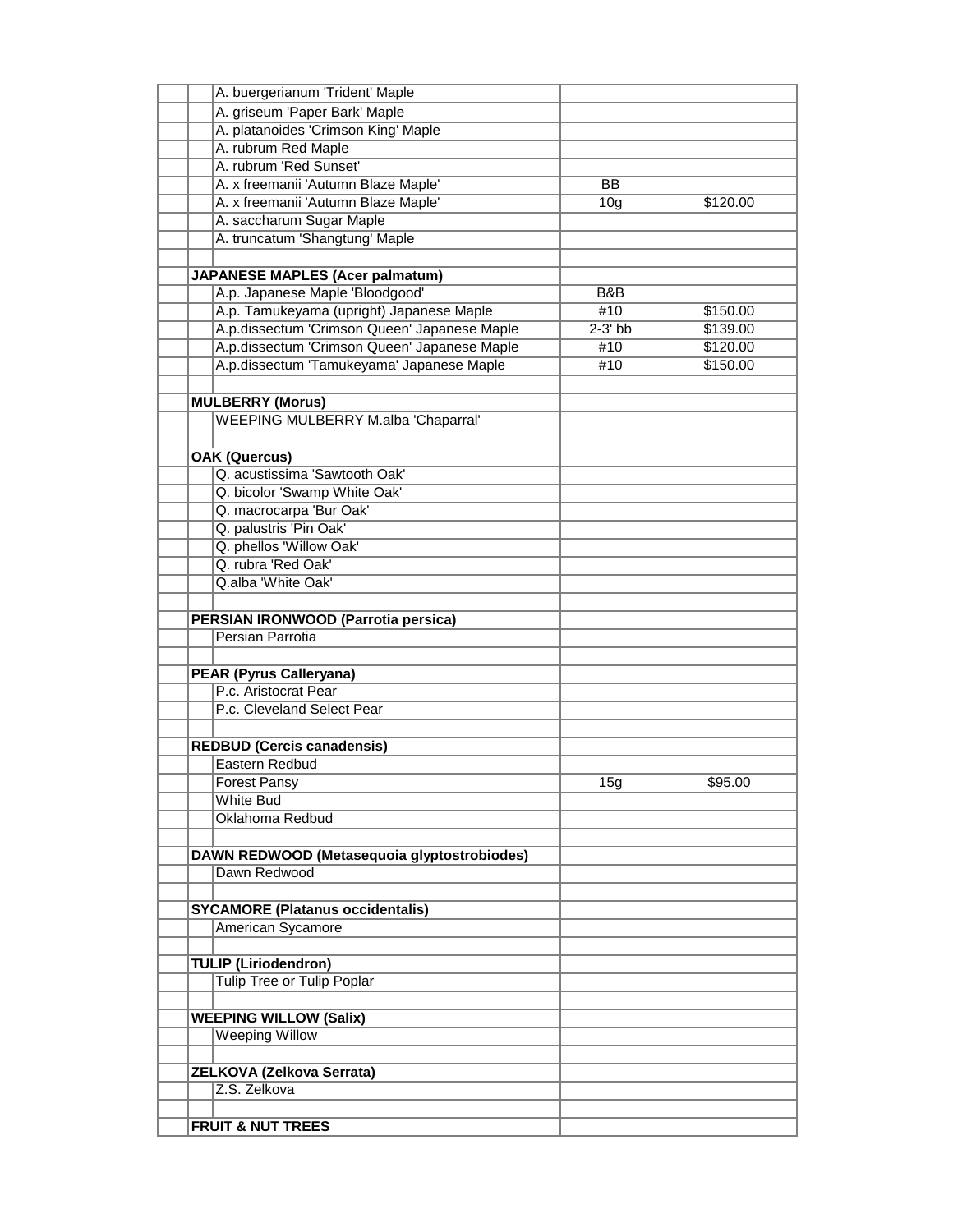| A. buergerianum 'Trident' Maple                                       |                 |          |
|-----------------------------------------------------------------------|-----------------|----------|
| A. griseum 'Paper Bark' Maple                                         |                 |          |
| A. platanoides 'Crimson King' Maple                                   |                 |          |
| A. rubrum Red Maple                                                   |                 |          |
| A. rubrum 'Red Sunset'                                                |                 |          |
| A. x freemanii 'Autumn Blaze Maple'                                   | $\overline{BB}$ |          |
| A. x freemanii 'Autumn Blaze Maple'                                   | 10 <sub>g</sub> | \$120.00 |
| A. saccharum Sugar Maple                                              |                 |          |
| A. truncatum 'Shangtung' Maple                                        |                 |          |
|                                                                       |                 |          |
| <b>JAPANESE MAPLES (Acer palmatum)</b>                                |                 |          |
| A.p. Japanese Maple 'Bloodgood'                                       | B&B             |          |
| A.p. Tamukeyama (upright) Japanese Maple                              | #10             | \$150.00 |
| A.p.dissectum 'Crimson Queen' Japanese Maple                          | $2-3'$ bb       | \$139.00 |
| A.p.dissectum 'Crimson Queen' Japanese Maple                          | #10             | \$120.00 |
| A.p.dissectum 'Tamukeyama' Japanese Maple                             | #10             | \$150.00 |
|                                                                       |                 |          |
|                                                                       |                 |          |
| <b>MULBERRY (Morus)</b><br><b>WEEPING MULBERRY M.alba 'Chaparral'</b> |                 |          |
|                                                                       |                 |          |
|                                                                       |                 |          |
| <b>OAK (Quercus)</b>                                                  |                 |          |
| Q. acustissima 'Sawtooth Oak'                                         |                 |          |
| Q. bicolor 'Swamp White Oak'                                          |                 |          |
| Q. macrocarpa 'Bur Oak'                                               |                 |          |
| Q. palustris 'Pin Oak'                                                |                 |          |
| Q. phellos 'Willow Oak'                                               |                 |          |
| Q. rubra 'Red Oak'                                                    |                 |          |
| Q.alba 'White Oak'                                                    |                 |          |
|                                                                       |                 |          |
| PERSIAN IRONWOOD (Parrotia persica)                                   |                 |          |
| Persian Parrotia                                                      |                 |          |
|                                                                       |                 |          |
| <b>PEAR (Pyrus Calleryana)</b>                                        |                 |          |
| P.c. Aristocrat Pear                                                  |                 |          |
| P.c. Cleveland Select Pear                                            |                 |          |
|                                                                       |                 |          |
| <b>REDBUD (Cercis canadensis)</b>                                     |                 |          |
| Eastern Redbud                                                        |                 |          |
| Forest Pansy                                                          | 15g             | \$95.00  |
| White Bud                                                             |                 |          |
| Oklahoma Redbud                                                       |                 |          |
|                                                                       |                 |          |
| DAWN REDWOOD (Metasequoia glyptostrobiodes)                           |                 |          |
| Dawn Redwood                                                          |                 |          |
|                                                                       |                 |          |
| <b>SYCAMORE (Platanus occidentalis)</b>                               |                 |          |
| American Sycamore                                                     |                 |          |
|                                                                       |                 |          |
| <b>TULIP (Liriodendron)</b>                                           |                 |          |
| <b>Tulip Tree or Tulip Poplar</b>                                     |                 |          |
|                                                                       |                 |          |
|                                                                       |                 |          |
| <b>WEEPING WILLOW (Salix)</b><br><b>Weeping Willow</b>                |                 |          |
|                                                                       |                 |          |
|                                                                       |                 |          |
| ZELKOVA (Zelkova Serrata)                                             |                 |          |
| Z.S. Zelkova                                                          |                 |          |
|                                                                       |                 |          |
| <b>FRUIT &amp; NUT TREES</b>                                          |                 |          |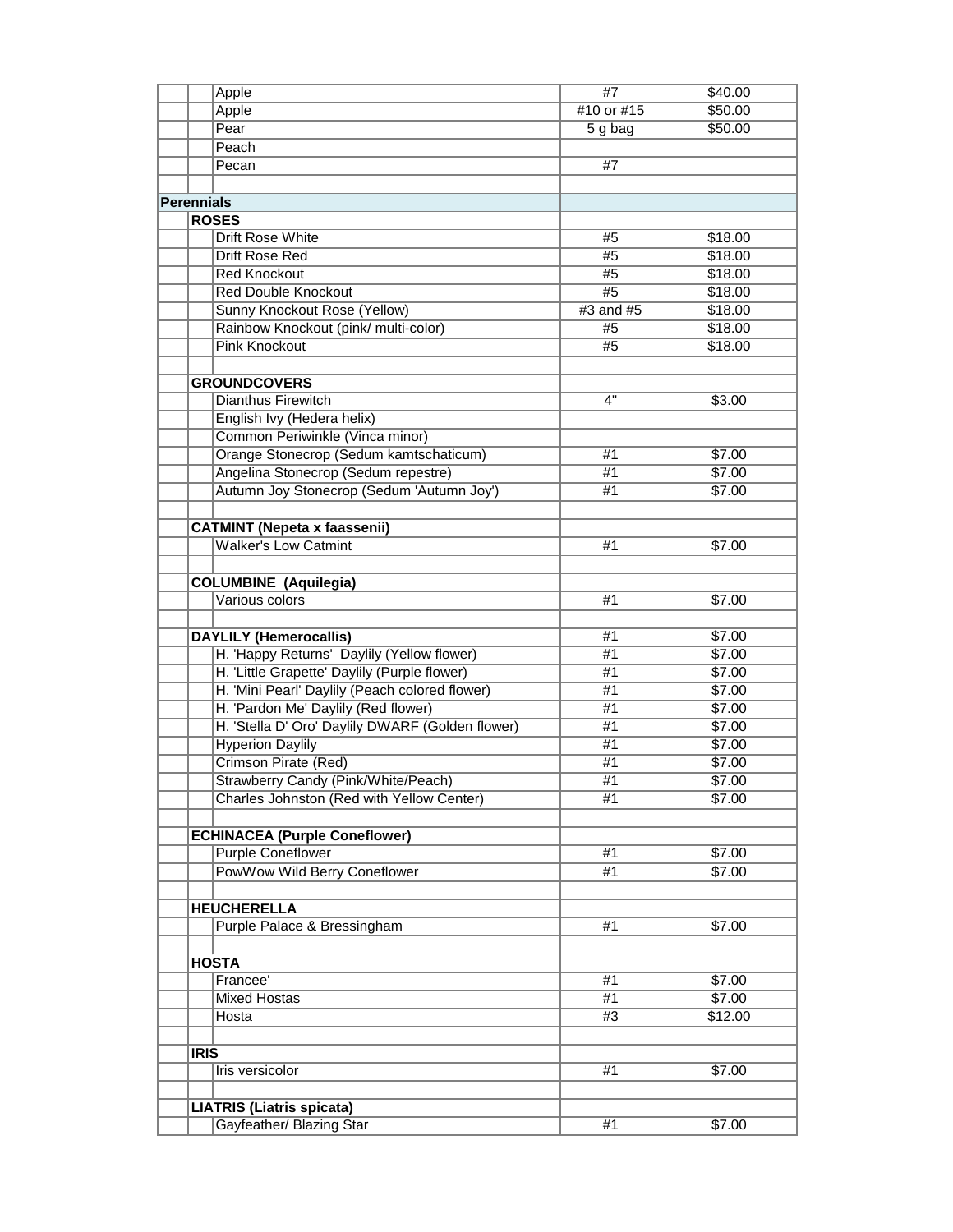|                   | Apple                                            | #7         | \$40.00 |
|-------------------|--------------------------------------------------|------------|---------|
|                   | Apple                                            | #10 or #15 | \$50.00 |
|                   | Pear                                             | 5 g bag    | \$50.00 |
|                   | Peach                                            |            |         |
|                   | Pecan                                            | #7         |         |
|                   |                                                  |            |         |
| <b>Perennials</b> |                                                  |            |         |
|                   | <b>ROSES</b>                                     |            |         |
|                   | Drift Rose White                                 | #5         | \$18.00 |
|                   | Drift Rose Red                                   | #5         | \$18.00 |
|                   | <b>Red Knockout</b>                              | #5         | \$18.00 |
|                   | <b>Red Double Knockout</b>                       | #5         | \$18.00 |
|                   | Sunny Knockout Rose (Yellow)                     | #3 and #5  | \$18.00 |
|                   | Rainbow Knockout (pink/ multi-color)             | #5         | \$18.00 |
|                   |                                                  |            |         |
|                   | <b>Pink Knockout</b>                             | #5         | \$18.00 |
|                   |                                                  |            |         |
|                   | <b>GROUNDCOVERS</b>                              |            |         |
|                   | Dianthus Firewitch                               | 4"         | \$3.00  |
|                   | English Ivy (Hedera helix)                       |            |         |
|                   | Common Periwinkle (Vinca minor)                  |            |         |
|                   | Orange Stonecrop (Sedum kamtschaticum)           | #1         | \$7.00  |
|                   | Angelina Stonecrop (Sedum repestre)              | #1         | \$7.00  |
|                   | Autumn Joy Stonecrop (Sedum 'Autumn Joy')        | #1         | \$7.00  |
|                   |                                                  |            |         |
|                   | <b>CATMINT (Nepeta x faassenii)</b>              |            |         |
|                   | <b>Walker's Low Catmint</b>                      | #1         | \$7.00  |
|                   |                                                  |            |         |
|                   | <b>COLUMBINE</b> (Aquilegia)                     |            |         |
|                   | Various colors                                   | #1         | \$7.00  |
|                   |                                                  |            |         |
|                   | <b>DAYLILY</b> (Hemerocallis)                    | #1         | \$7.00  |
|                   | H. 'Happy Returns' Daylily (Yellow flower)       | #1         | \$7.00  |
|                   | H. 'Little Grapette' Daylily (Purple flower)     | #1         | \$7.00  |
|                   | H. 'Mini Pearl' Daylily (Peach colored flower)   | #1         | \$7.00  |
|                   | H. 'Pardon Me' Daylily (Red flower)              | #1         | \$7.00  |
|                   | H. 'Stella D' Oro' Daylily DWARF (Golden flower) | #1         | \$7.00  |
|                   | <b>Hyperion Daylily</b>                          | #1         | \$7.00  |
|                   | <b>Crimson Pirate (Red)</b>                      | #1         | \$7.00  |
|                   | Strawberry Candy (Pink/White/Peach)              | #1         | \$7.00  |
|                   | Charles Johnston (Red with Yellow Center)        | #1         | \$7.00  |
|                   |                                                  |            |         |
|                   | <b>ECHINACEA (Purple Coneflower)</b>             |            |         |
|                   | <b>Purple Coneflower</b>                         | #1         | \$7.00  |
|                   | PowWow Wild Berry Coneflower                     | #1         | \$7.00  |
|                   |                                                  |            |         |
|                   | <b>HEUCHERELLA</b>                               |            |         |
|                   | Purple Palace & Bressingham                      | #1         | \$7.00  |
|                   |                                                  |            |         |
|                   | <b>HOSTA</b>                                     |            |         |
|                   | Francee'                                         | #1         | \$7.00  |
|                   | <b>Mixed Hostas</b>                              | #1         | \$7.00  |
|                   | Hosta                                            | #3         | \$12.00 |
|                   |                                                  |            |         |
|                   | <b>IRIS</b>                                      |            |         |
|                   | Iris versicolor                                  | #1         | \$7.00  |
|                   |                                                  |            |         |
|                   | <b>LIATRIS (Liatris spicata)</b>                 |            |         |
|                   | Gayfeather/ Blazing Star                         | #1         | \$7.00  |
|                   |                                                  |            |         |